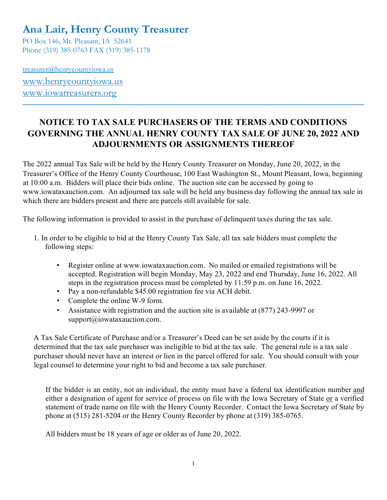# **Ana Lair, Henry County Treasurer**

PO Box 146, Mt. Pleasant, IA 52641 Phone (319) 385-0763 FAX (319) 385-1178

treasurer@henrycountyiowa.us [www.henrycountyiowa.us](http://www.henrycountyiowa.us/) [www.iowatreasurers.org](http://www.iowatreasurers.org/)

## **NOTICE TO TAX SALE PURCHASERS OF THE TERMS AND CONDITIONS GOVERNING THE ANNUAL HENRY COUNTY TAX SALE OF JUNE 20, 2022 AND ADJOURNMENTS OR ASSIGNMENTS THEREOF**

 $\mathcal{L}_\mathcal{L} = \{ \mathcal{L}_\mathcal{L} = \{ \mathcal{L}_\mathcal{L} = \{ \mathcal{L}_\mathcal{L} = \{ \mathcal{L}_\mathcal{L} = \{ \mathcal{L}_\mathcal{L} = \{ \mathcal{L}_\mathcal{L} = \{ \mathcal{L}_\mathcal{L} = \{ \mathcal{L}_\mathcal{L} = \{ \mathcal{L}_\mathcal{L} = \{ \mathcal{L}_\mathcal{L} = \{ \mathcal{L}_\mathcal{L} = \{ \mathcal{L}_\mathcal{L} = \{ \mathcal{L}_\mathcal{L} = \{ \mathcal{L}_\mathcal{$ 

The 2022 annual Tax Sale will be held by the Henry County Treasurer on Monday, June 20, 2022, in the Treasurer's Office of the Henry County Courthouse, 100 East Washington St., Mount Pleasant, Iowa, beginning at 10:00 a.m. Bidders will place their bids online. The auction site can be accessed by going to www.iowataxauction.com. An adjourned tax sale will be held any business day following the annual tax sale in which there are bidders present and there are parcels still available for sale.

The following information is provided to assist in the purchase of delinquent taxes during the tax sale.

- 1. In order to be eligible to bid at the Henry County Tax Sale, all tax sale bidders must complete the following steps:
	- Register online at www.iowataxauction.com. No mailed or emailed registrations will be accepted. Registration will begin Monday, May 23, 2022 and end Thursday, June 16, 2022. All steps in the registration process must be completed by 11:59 p.m. on June 16, 2022.
	- Pay a non-refundable \$45.00 registration fee via ACH debit.
	- Complete the online W-9 form.
	- Assistance with registration and the auction site is available at (877) 243-9997 or support@iowataxauction.com.

A Tax Sale Certificate of Purchase and/or a Treasurer's Deed can be set aside by the courts if it is determined that the tax sale purchaser was ineligible to bid at the tax sale. The general rule is a tax sale purchaser should never have an interest or lien in the parcel offered for sale. You should consult with your legal counsel to determine your right to bid and become a tax sale purchaser.

If the bidder is an entity, not an individual, the entity must have a federal tax identification number and either a designation of agent for service of process on file with the Iowa Secretary of State or a verified statement of trade name on file with the Henry County Recorder. Contact the Iowa Secretary of State by phone at (515) 281-5204 or the Henry County Recorder by phone at (319) 385-0765.

All bidders must be 18 years of age or older as of June 20, 2022.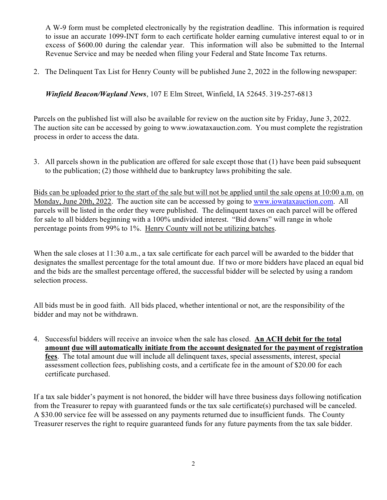A W-9 form must be completed electronically by the registration deadline. This information is required to issue an accurate 1099-INT form to each certificate holder earning cumulative interest equal to or in excess of \$600.00 during the calendar year. This information will also be submitted to the Internal Revenue Service and may be needed when filing your Federal and State Income Tax returns.

2. The Delinquent Tax List for Henry County will be published June 2, 2022 in the following newspaper:

*Winfield Beacon/Wayland News*, 107 E Elm Street, Winfield, IA 52645. 319-257-6813

Parcels on the published list will also be available for review on the auction site by Friday, June 3, 2022. The auction site can be accessed by going to www.iowataxauction.com. You must complete the registration process in order to access the data.

3. All parcels shown in the publication are offered for sale except those that (1) have been paid subsequent to the publication; (2) those withheld due to bankruptcy laws prohibiting the sale.

Bids can be uploaded prior to the start of the sale but will not be applied until the sale opens at 10:00 a.m. on Monday, June 20th, 2022. The auction site can be accessed by going to [www.iowataxauction.com.](http://www.iowataxauction.com/) All parcels will be listed in the order they were published. The delinquent taxes on each parcel will be offered for sale to all bidders beginning with a 100% undivided interest. "Bid downs" will range in whole percentage points from 99% to 1%. Henry County will not be utilizing batches.

When the sale closes at 11:30 a.m., a tax sale certificate for each parcel will be awarded to the bidder that designates the smallest percentage for the total amount due. If two or more bidders have placed an equal bid and the bids are the smallest percentage offered, the successful bidder will be selected by using a random selection process.

All bids must be in good faith. All bids placed, whether intentional or not, are the responsibility of the bidder and may not be withdrawn.

4. Successful bidders will receive an invoice when the sale has closed. **An ACH debit for the total amount due will automatically initiate from the account designated for the payment of registration fees**. The total amount due will include all delinquent taxes, special assessments, interest, special assessment collection fees, publishing costs, and a certificate fee in the amount of \$20.00 for each certificate purchased.

If a tax sale bidder's payment is not honored, the bidder will have three business days following notification from the Treasurer to repay with guaranteed funds or the tax sale certificate(s) purchased will be canceled. A \$30.00 service fee will be assessed on any payments returned due to insufficient funds. The County Treasurer reserves the right to require guaranteed funds for any future payments from the tax sale bidder.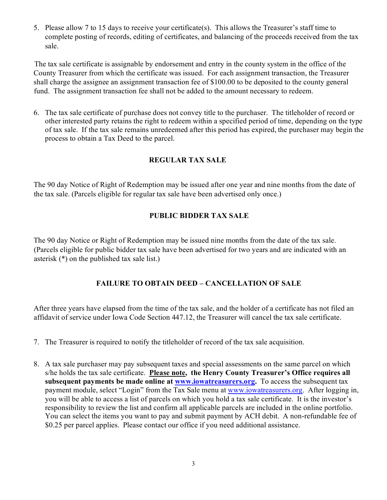5. Please allow 7 to 15 days to receive your certificate(s). This allows the Treasurer's staff time to complete posting of records, editing of certificates, and balancing of the proceeds received from the tax sale.

 The tax sale certificate is assignable by endorsement and entry in the county system in the office of the County Treasurer from which the certificate was issued. For each assignment transaction, the Treasurer shall charge the assignee an assignment transaction fee of \$100.00 to be deposited to the county general fund. The assignment transaction fee shall not be added to the amount necessary to redeem.

6. The tax sale certificate of purchase does not convey title to the purchaser. The titleholder of record or other interested party retains the right to redeem within a specified period of time, depending on the type of tax sale. If the tax sale remains unredeemed after this period has expired, the purchaser may begin the process to obtain a Tax Deed to the parcel.

#### **REGULAR TAX SALE**

The 90 day Notice of Right of Redemption may be issued after one year and nine months from the date of the tax sale. (Parcels eligible for regular tax sale have been advertised only once.)

#### **PUBLIC BIDDER TAX SALE**

The 90 day Notice or Right of Redemption may be issued nine months from the date of the tax sale. (Parcels eligible for public bidder tax sale have been advertised for two years and are indicated with an asterisk (\*) on the published tax sale list.)

### **FAILURE TO OBTAIN DEED – CANCELLATION OF SALE**

After three years have elapsed from the time of the tax sale, and the holder of a certificate has not filed an affidavit of service under Iowa Code Section 447.12, the Treasurer will cancel the tax sale certificate.

- 7. The Treasurer is required to notify the titleholder of record of the tax sale acquisition.
- 8. A tax sale purchaser may pay subsequent taxes and special assessments on the same parcel on which s/he holds the tax sale certificate. **Please note, the Henry County Treasurer's Office requires all subsequent payments be made online at [www.iowatreasurers.org.](http://www.iowatreasurers.org/)** To access the subsequent tax payment module, select "Login" from the Tax Sale menu at [www.iowatreasurers.org.](http://www.iowatreasurers.org/)After logging in, you will be able to access a list of parcels on which you hold a tax sale certificate. It is the investor's responsibility to review the list and confirm all applicable parcels are included in the online portfolio. You can select the items you want to pay and submit payment by ACH debit. A non-refundable fee of \$0.25 per parcel applies. Please contact our office if you need additional assistance.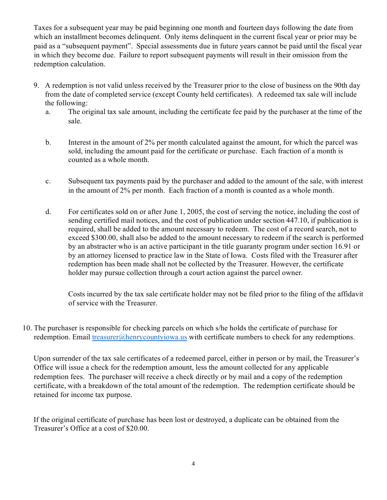Taxes for a subsequent year may be paid beginning one month and fourteen days following the date from which an installment becomes delinquent. Only items delinquent in the current fiscal year or prior may be paid as a "subsequent payment". Special assessments due in future years cannot be paid until the fiscal year in which they become due. Failure to report subsequent payments will result in their omission from the redemption calculation.

- 9. A redemption is not valid unless received by the Treasurer prior to the close of business on the 90th day from the date of completed service (except County held certificates). A redeemed tax sale will include the following:
	- a. The original tax sale amount, including the certificate fee paid by the purchaser at the time of the sale.
	- b. Interest in the amount of 2% per month calculated against the amount, for which the parcel was sold, including the amount paid for the certificate or purchase. Each fraction of a month is counted as a whole month.
	- c. Subsequent tax payments paid by the purchaser and added to the amount of the sale, with interest in the amount of 2% per month. Each fraction of a month is counted as a whole month.
	- d. For certificates sold on or after June 1, 2005, the cost of serving the notice, including the cost of sending certified mail notices, and the cost of publication under section 447.10, if publication is required, shall be added to the amount necessary to redeem. The cost of a record search, not to exceed \$300.00, shall also be added to the amount necessary to redeem if the search is performed by an abstracter who is an active participant in the title guaranty program under section 16.91 or by an attorney licensed to practice law in the State of Iowa. Costs filed with the Treasurer after redemption has been made shall not be collected by the Treasurer. However, the certificate holder may pursue collection through a court action against the parcel owner.

Costs incurred by the tax sale certificate holder may not be filed prior to the filing of the affidavit of service with the Treasurer.

10. The purchaser is responsible for checking parcels on which s/he holds the certificate of purchase for redemption. Email [treasurer@henrycountyiowa.us](mailto:treasurer@henrycountyiowa.us) with certificate numbers to check for any redemptions.

Upon surrender of the tax sale certificates of a redeemed parcel, either in person or by mail, the Treasurer's Office will issue a check for the redemption amount, less the amount collected for any applicable redemption fees. The purchaser will receive a check directly or by mail and a copy of the redemption certificate, with a breakdown of the total amount of the redemption. The redemption certificate should be retained for income tax purpose.

If the original certificate of purchase has been lost or destroyed, a duplicate can be obtained from the Treasurer's Office at a cost of \$20.00.